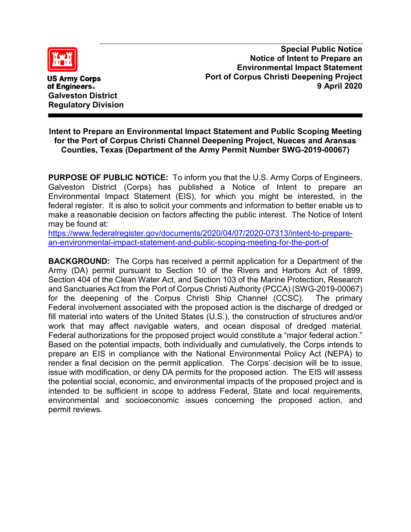

**US Army Corps** of Engineers. **Galveston District Regulatory Division**

**Special Public Notice Notice of Intent to Prepare an Environmental Impact Statement Port of Corpus Christi Deepening Project 9 April 2020**

## **Intent to Prepare an Environmental Impact Statement and Public Scoping Meeting for the Port of Corpus Christi Channel Deepening Project, Nueces and Aransas Counties, Texas (Department of the Army Permit Number SWG-2019-00067)**

**PURPOSE OF PUBLIC NOTICE:** To inform you that the U.S. Army Corps of Engineers, Galveston District (Corps) has published a Notice of Intent to prepare an Environmental Impact Statement (EIS), for which you might be interested, in the federal register. It is also to solicit your comments and information to better enable us to make a reasonable decision on factors affecting the public interest. The Notice of Intent may be found at:

[https://www.federalregister.gov/documents/2020/04/07/2020-07313/intent-to-prepare](https://www.federalregister.gov/documents/2020/04/07/2020-07313/intent-to-prepare-an-environmental-impact-statement-and-public-scoping-meeting-for-the-port-of)[an-environmental-impact-statement-and-public-scoping-meeting-for-the-port-of](https://www.federalregister.gov/documents/2020/04/07/2020-07313/intent-to-prepare-an-environmental-impact-statement-and-public-scoping-meeting-for-the-port-of)

**BACKGROUND:** The Corps has received a permit application for a Department of the Army (DA) permit pursuant to Section 10 of the Rivers and Harbors Act of 1899, Section 404 of the Clean Water Act, and Section 103 of the Marine Protection, Research and Sanctuaries Act from the Port of Corpus Christi Authority (PCCA) (SWG-2019-00067) for the deepening of the Corpus Christi Ship Channel (CCSC). The primary Federal involvement associated with the proposed action is the discharge of dredged or fill material into waters of the United States (U.S.), the construction of structures and/or work that may affect navigable waters, and ocean disposal of dredged material. Federal authorizations for the proposed project would constitute a "major federal action." Based on the potential impacts, both individually and cumulatively, the Corps intends to prepare an EIS in compliance with the National Environmental Policy Act (NEPA) to render a final decision on the permit application. The Corps' decision will be to issue, issue with modification, or deny DA permits for the proposed action. The EIS will assess the potential social, economic, and environmental impacts of the proposed project and is intended to be sufficient in scope to address Federal, State and local requirements, environmental and socioeconomic issues concerning the proposed action, and permit reviews.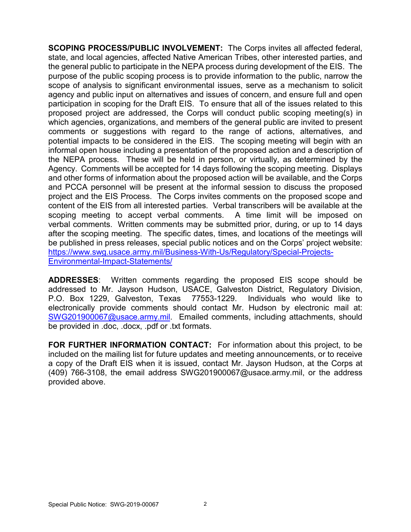**SCOPING PROCESS/PUBLIC INVOLVEMENT:** The Corps invites all affected federal, state, and local agencies, affected Native American Tribes, other interested parties, and the general public to participate in the NEPA process during development of the EIS. The purpose of the public scoping process is to provide information to the public, narrow the scope of analysis to significant environmental issues, serve as a mechanism to solicit agency and public input on alternatives and issues of concern, and ensure full and open participation in scoping for the Draft EIS. To ensure that all of the issues related to this proposed project are addressed, the Corps will conduct public scoping meeting(s) in which agencies, organizations, and members of the general public are invited to present comments or suggestions with regard to the range of actions, alternatives, and potential impacts to be considered in the EIS. The scoping meeting will begin with an informal open house including a presentation of the proposed action and a description of the NEPA process. These will be held in person, or virtually, as determined by the Agency. Comments will be accepted for 14 days following the scoping meeting. Displays and other forms of information about the proposed action will be available, and the Corps and PCCA personnel will be present at the informal session to discuss the proposed project and the EIS Process. The Corps invites comments on the proposed scope and content of the EIS from all interested parties. Verbal transcribers will be available at the scoping meeting to accept verbal comments. A time limit will be imposed on verbal comments. Written comments may be submitted prior, during, or up to 14 days after the scoping meeting. The specific dates, times, and locations of the meetings will be published in press releases, special public notices and on the Corps' project website: [https://www.swg.usace.army.mil/Business-With-Us/Regulatory/Special-Projects-](https://www.swg.usace.army.mil/Business-With-Us/Regulatory/Special-Projects-Environmental-Impact-Statements/)[Environmental-Impact-Statements/](https://www.swg.usace.army.mil/Business-With-Us/Regulatory/Special-Projects-Environmental-Impact-Statements/)

**ADDRESSES**: Written comments regarding the proposed EIS scope should be addressed to Mr. Jayson Hudson, USACE, Galveston District, Regulatory Division, P.O. Box 1229, Galveston, Texas 77553-1229. Individuals who would like to electronically provide comments should contact Mr. Hudson by electronic mail at: [SWG201900067@usace.army.mil.](mailto:SWG201900067@usace.army.mil) Emailed comments, including attachments, should be provided in .doc, .docx, .pdf or .txt formats.

**FOR FURTHER INFORMATION CONTACT:** For information about this project, to be included on the mailing list for future updates and meeting announcements, or to receive a copy of the Draft EIS when it is issued, contact Mr. Jayson Hudson, at the Corps at (409) 766-3108, the email address SWG201900067@usace.army.mil, or the address provided above.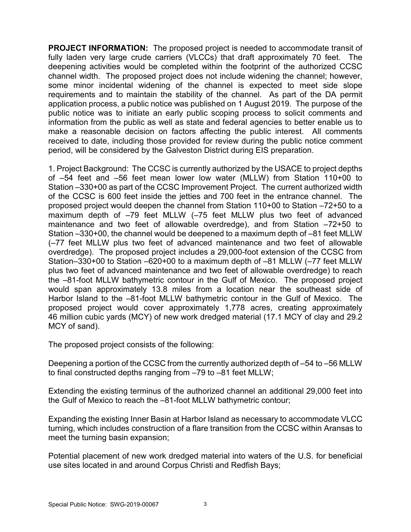**PROJECT INFORMATION:** The proposed project is needed to accommodate transit of fully laden very large crude carriers (VLCCs) that draft approximately 70 feet. The deepening activities would be completed within the footprint of the authorized CCSC channel width. The proposed project does not include widening the channel; however, some minor incidental widening of the channel is expected to meet side slope requirements and to maintain the stability of the channel. As part of the DA permit application process, a public notice was published on 1 August 2019. The purpose of the public notice was to initiate an early public scoping process to solicit comments and information from the public as well as state and federal agencies to better enable us to make a reasonable decision on factors affecting the public interest. All comments received to date, including those provided for review during the public notice comment period, will be considered by the Galveston District during EIS preparation.

1. Project Background: The CCSC is currently authorized by the USACE to project depths of –54 feet and –56 feet mean lower low water (MLLW) from Station 110+00 to Station –330+00 as part of the CCSC Improvement Project. The current authorized width of the CCSC is 600 feet inside the jetties and 700 feet in the entrance channel. The proposed project would deepen the channel from Station 110+00 to Station –72+50 to a maximum depth of –79 feet MLLW (–75 feet MLLW plus two feet of advanced maintenance and two feet of allowable overdredge), and from Station –72+50 to Station –330+00, the channel would be deepened to a maximum depth of –81 feet MLLW (–77 feet MLLW plus two feet of advanced maintenance and two feet of allowable overdredge). The proposed project includes a 29,000-foot extension of the CCSC from Station–330+00 to Station –620+00 to a maximum depth of –81 MLLW (–77 feet MLLW plus two feet of advanced maintenance and two feet of allowable overdredge) to reach the –81-foot MLLW bathymetric contour in the Gulf of Mexico. The proposed project would span approximately 13.8 miles from a location near the southeast side of Harbor Island to the -81-foot MLLW bathymetric contour in the Gulf of Mexico. The proposed project would cover approximately 1,778 acres, creating approximately 46 million cubic yards (MCY) of new work dredged material (17.1 MCY of clay and 29.2 MCY of sand).

The proposed project consists of the following:

Deepening a portion of the CCSC from the currently authorized depth of –54 to –56 MLLW to final constructed depths ranging from –79 to –81 feet MLLW;

Extending the existing terminus of the authorized channel an additional 29,000 feet into the Gulf of Mexico to reach the –81-foot MLLW bathymetric contour;

Expanding the existing Inner Basin at Harbor Island as necessary to accommodate VLCC turning, which includes construction of a flare transition from the CCSC within Aransas to meet the turning basin expansion;

Potential placement of new work dredged material into waters of the U.S. for beneficial use sites located in and around Corpus Christi and Redfish Bays;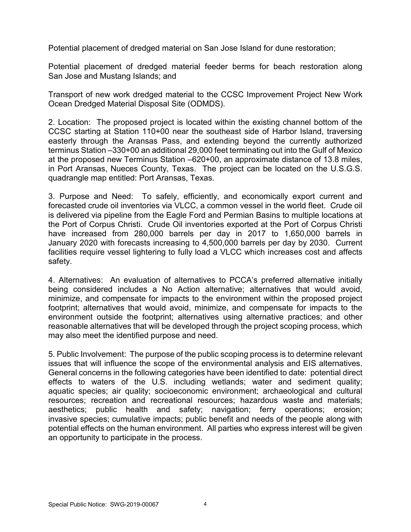Potential placement of dredged material on San Jose Island for dune restoration;

Potential placement of dredged material feeder berms for beach restoration along San Jose and Mustang Islands; and

Transport of new work dredged material to the CCSC Improvement Project New Work Ocean Dredged Material Disposal Site (ODMDS).

2. Location: The proposed project is located within the existing channel bottom of the CCSC starting at Station 110+00 near the southeast side of Harbor Island, traversing easterly through the Aransas Pass, and extending beyond the currently authorized terminus Station –330+00 an additional 29,000 feet terminating out into the Gulf of Mexico at the proposed new Terminus Station –620+00, an approximate distance of 13.8 miles, in Port Aransas, Nueces County, Texas. The project can be located on the U.S.G.S. quadrangle map entitled: Port Aransas, Texas.

3. Purpose and Need: To safely, efficiently, and economically export current and forecasted crude oil inventories via VLCC, a common vessel in the world fleet. Crude oil is delivered via pipeline from the Eagle Ford and Permian Basins to multiple locations at the Port of Corpus Christi. Crude Oil inventories exported at the Port of Corpus Christi have increased from 280,000 barrels per day in 2017 to 1,650,000 barrels in January 2020 with forecasts increasing to 4,500,000 barrels per day by 2030. Current facilities require vessel lightering to fully load a VLCC which increases cost and affects safety.

4. Alternatives: An evaluation of alternatives to PCCA's preferred alternative initially being considered includes a No Action alternative; alternatives that would avoid, minimize, and compensate for impacts to the environment within the proposed project footprint; alternatives that would avoid, minimize, and compensate for impacts to the environment outside the footprint; alternatives using alternative practices; and other reasonable alternatives that will be developed through the project scoping process, which may also meet the identified purpose and need.

5. Public Involvement: The purpose of the public scoping process is to determine relevant issues that will influence the scope of the environmental analysis and EIS alternatives. General concerns in the following categories have been identified to date: potential direct effects to waters of the U.S. including wetlands; water and sediment quality; aquatic species; air quality; socioeconomic environment; archaeological and cultural resources; recreation and recreational resources; hazardous waste and materials; aesthetics; public health and safety; navigation; ferry operations; erosion; invasive species; cumulative impacts; public benefit and needs of the people along with potential effects on the human environment. All parties who express interest will be given an opportunity to participate in the process.